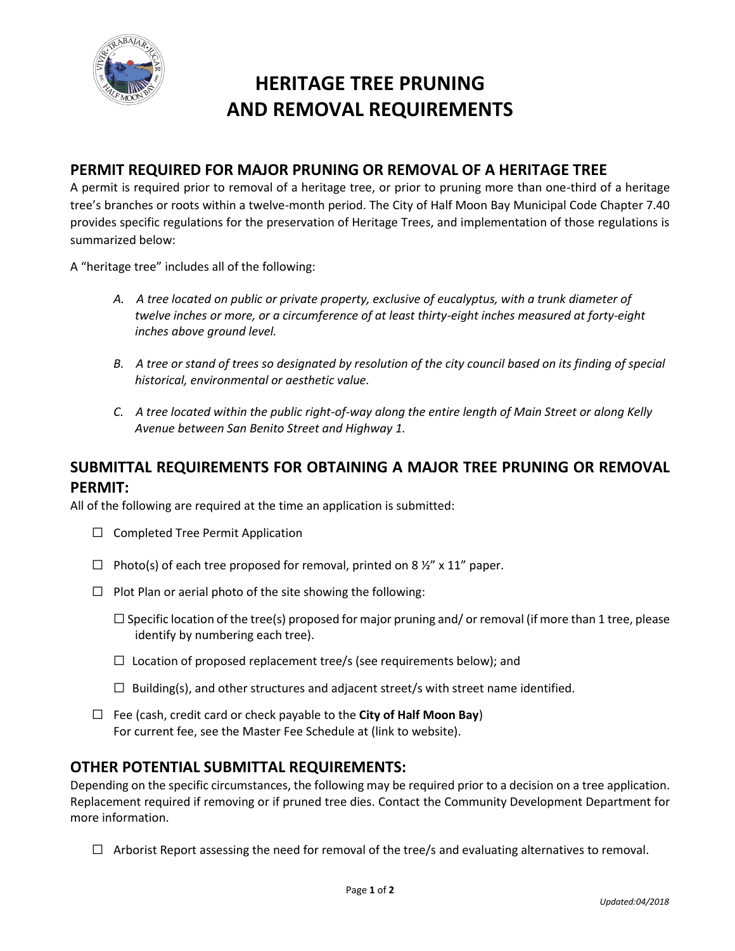

# **HERITAGE TREE PRUNING AND REMOVAL REQUIREMENTS**

### **PERMIT REQUIRED FOR MAJOR PRUNING OR REMOVAL OF A HERITAGE TREE**

A permit is required prior to removal of a heritage tree, or prior to pruning more than one-third of a heritage tree's branches or roots within a twelve-month period. The City of Half Moon Bay Municipal Code Chapter 7.40 provides specific regulations for the preservation of Heritage Trees, and implementation of those regulations is summarized below:

A "heritage tree" includes all of the following:

- *A. A tree located on public or private property, exclusive of eucalyptus, with a trunk diameter of twelve inches or more, or a circumference of at least thirty-eight inches measured at forty-eight inches above ground level.*
- *B.* A tree or stand of trees so designated by resolution of the city council based on its finding of special *historical, environmental or aesthetic value.*
- *C. A tree located within the public right-of-way along the entire length of Main Street or along Kelly Avenue between San Benito Street and Highway 1.*

### **SUBMITTAL REQUIREMENTS FOR OBTAINING A MAJOR TREE PRUNING OR REMOVAL PERMIT:**

All of the following are required at the time an application is submitted:

- ☐ Completed Tree Permit Application
- $\Box$  Photo(s) of each tree proposed for removal, printed on 8  $\frac{1}{2}$  x 11" paper.
- $\Box$  Plot Plan or aerial photo of the site showing the following:
	- $\Box$  Specific location of the tree(s) proposed for major pruning and/ or removal (if more than 1 tree, please identify by numbering each tree).
	- $\Box$  Location of proposed replacement tree/s (see requirements below); and
	- $\Box$  Building(s), and other structures and adjacent street/s with street name identified.
- ☐ Fee (cash, credit card or check payable to the **City of Half Moon Bay**) For current fee, see the Master Fee Schedule at (link to website).

### **OTHER POTENTIAL SUBMITTAL REQUIREMENTS:**

Depending on the specific circumstances, the following may be required prior to a decision on a tree application. Replacement required if removing or if pruned tree dies. Contact the Community Development Department for more information.

 $\Box$  Arborist Report assessing the need for removal of the tree/s and evaluating alternatives to removal.